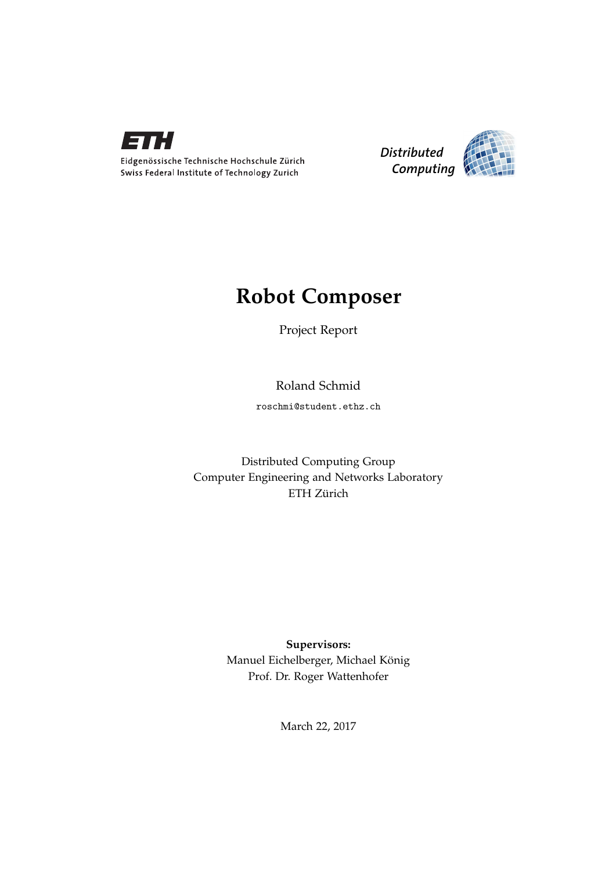



## **Robot Composer**

Project Report

Roland Schmid

roschmi@student.ethz.ch

Distributed Computing Group Computer Engineering and Networks Laboratory ETH Zürich

> **Supervisors:** Manuel Eichelberger, Michael König Prof. Dr. Roger Wattenhofer

> > March 22, 2017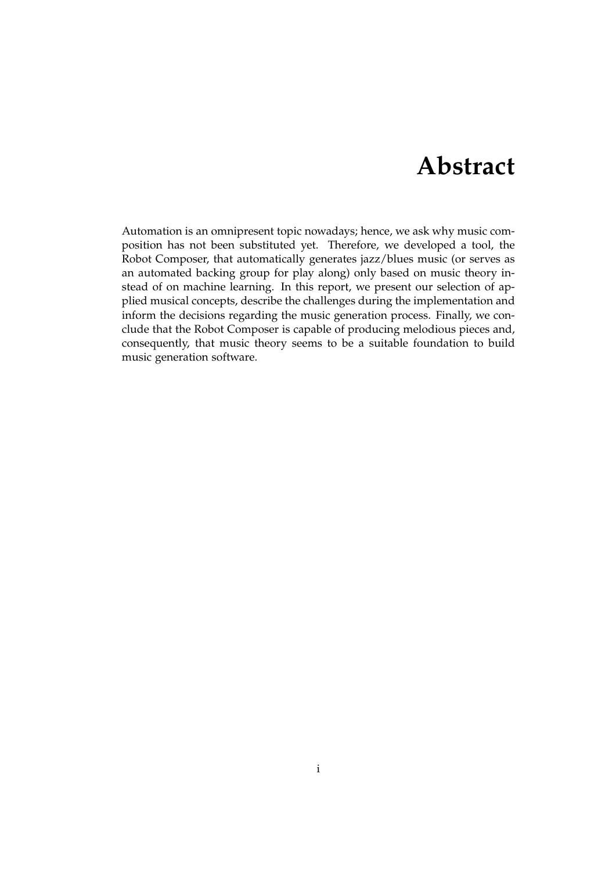## **Abstract**

<span id="page-1-0"></span>Automation is an omnipresent topic nowadays; hence, we ask why music composition has not been substituted yet. Therefore, we developed a tool, the Robot Composer, that automatically generates jazz/blues music (or serves as an automated backing group for play along) only based on music theory instead of on machine learning. In this report, we present our selection of applied musical concepts, describe the challenges during the implementation and inform the decisions regarding the music generation process. Finally, we conclude that the Robot Composer is capable of producing melodious pieces and, consequently, that music theory seems to be a suitable foundation to build music generation software.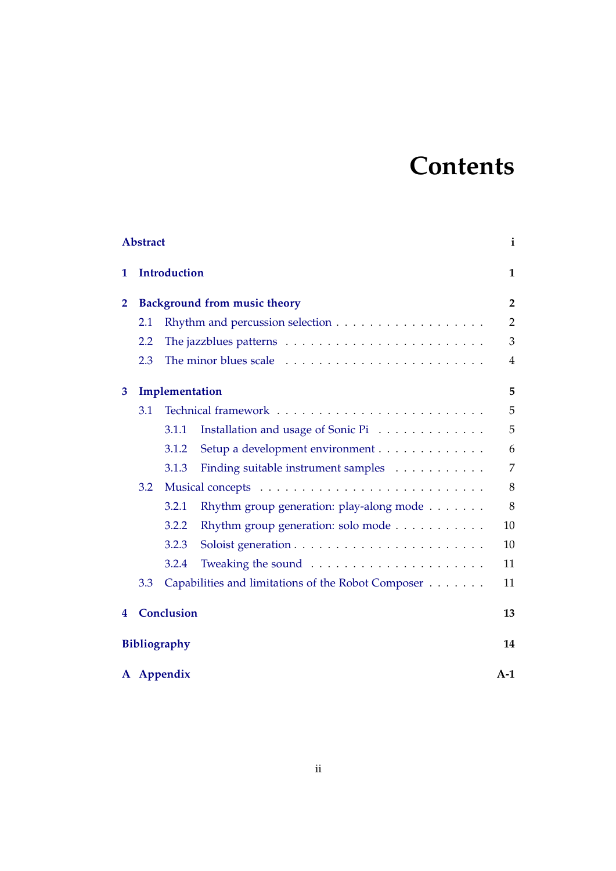# **Contents**

| <b>Abstract</b>           |                                                           |       |                                                                |    |  |  |  |  |
|---------------------------|-----------------------------------------------------------|-------|----------------------------------------------------------------|----|--|--|--|--|
| 1                         | <b>Introduction</b>                                       |       |                                                                |    |  |  |  |  |
| $\overline{2}$            | <b>Background from music theory</b>                       |       |                                                                |    |  |  |  |  |
|                           | 2.1                                                       |       |                                                                |    |  |  |  |  |
|                           | 2.2                                                       |       |                                                                |    |  |  |  |  |
|                           | 2.3                                                       |       |                                                                |    |  |  |  |  |
| 3                         | Implementation                                            |       |                                                                |    |  |  |  |  |
|                           | 3.1                                                       |       |                                                                |    |  |  |  |  |
|                           |                                                           | 3.1.1 | Installation and usage of Sonic Pi                             | 5  |  |  |  |  |
|                           |                                                           | 3.1.2 | Setup a development environment                                | 6  |  |  |  |  |
|                           |                                                           | 3.1.3 | Finding suitable instrument samples                            | 7  |  |  |  |  |
|                           | 3.2                                                       |       |                                                                |    |  |  |  |  |
|                           |                                                           | 3.2.1 | Rhythm group generation: play-along mode                       | 8  |  |  |  |  |
|                           |                                                           | 3.2.2 | Rhythm group generation: solo mode                             | 10 |  |  |  |  |
|                           |                                                           | 3.2.3 |                                                                | 10 |  |  |  |  |
|                           |                                                           | 3.2.4 | Tweaking the sound $\ldots \ldots \ldots \ldots \ldots \ldots$ | 11 |  |  |  |  |
|                           | Capabilities and limitations of the Robot Composer<br>3.3 |       |                                                                |    |  |  |  |  |
| 4                         | <b>Conclusion</b>                                         |       |                                                                |    |  |  |  |  |
| <b>Bibliography</b><br>14 |                                                           |       |                                                                |    |  |  |  |  |
| A Appendix<br>$A-1$       |                                                           |       |                                                                |    |  |  |  |  |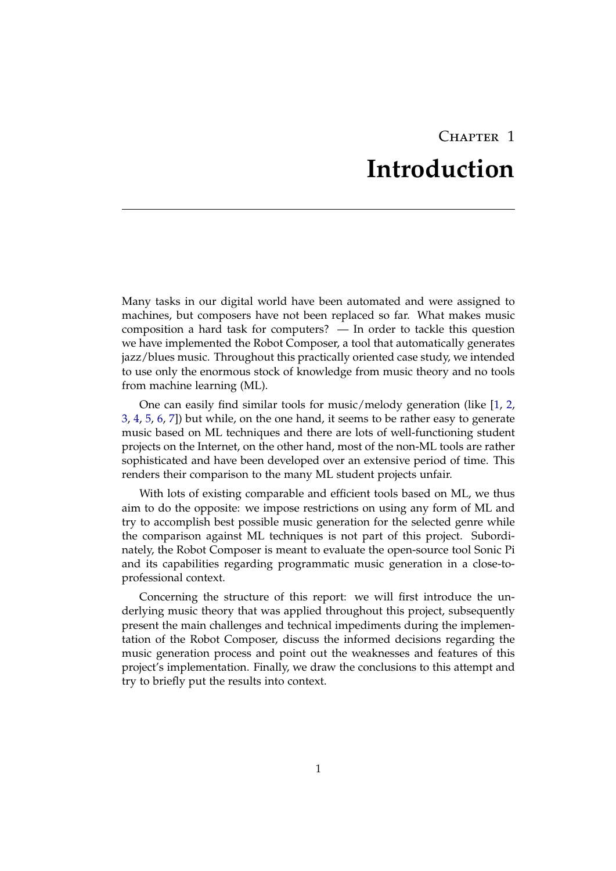## CHAPTER 1 **Introduction**

<span id="page-3-0"></span>Many tasks in our digital world have been automated and were assigned to machines, but composers have not been replaced so far. What makes music composition a hard task for computers? — In order to tackle this question we have implemented the Robot Composer, a tool that automatically generates jazz/blues music. Throughout this practically oriented case study, we intended to use only the enormous stock of knowledge from music theory and no tools from machine learning (ML).

One can easily find similar tools for music/melody generation (like [\[1,](#page-16-1) [2,](#page-16-2) [3,](#page-16-3) [4,](#page-16-4) [5,](#page-16-5) [6,](#page-16-6) [7\]](#page-16-7)) but while, on the one hand, it seems to be rather easy to generate music based on ML techniques and there are lots of well-functioning student projects on the Internet, on the other hand, most of the non-ML tools are rather sophisticated and have been developed over an extensive period of time. This renders their comparison to the many ML student projects unfair.

With lots of existing comparable and efficient tools based on ML, we thus aim to do the opposite: we impose restrictions on using any form of ML and try to accomplish best possible music generation for the selected genre while the comparison against ML techniques is not part of this project. Subordinately, the Robot Composer is meant to evaluate the open-source tool Sonic Pi and its capabilities regarding programmatic music generation in a close-toprofessional context.

Concerning the structure of this report: we will first introduce the underlying music theory that was applied throughout this project, subsequently present the main challenges and technical impediments during the implementation of the Robot Composer, discuss the informed decisions regarding the music generation process and point out the weaknesses and features of this project's implementation. Finally, we draw the conclusions to this attempt and try to briefly put the results into context.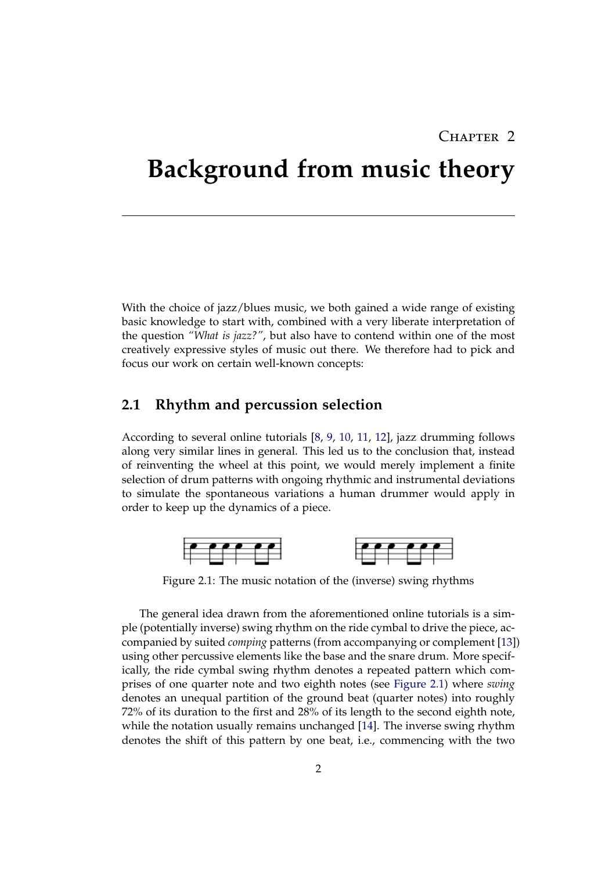## CHAPTER 2

## <span id="page-4-0"></span>**Background from music theory**

With the choice of jazz/blues music, we both gained a wide range of existing basic knowledge to start with, combined with a very liberate interpretation of the question *"What is jazz?"*, but also have to contend within one of the most creatively expressive styles of music out there. We therefore had to pick and focus our work on certain well-known concepts:

### <span id="page-4-1"></span>**2.1 Rhythm and percussion selection**

According to several online tutorials [\[8,](#page-16-8) [9,](#page-16-9) [10,](#page-16-10) [11,](#page-17-0) [12\]](#page-17-1), jazz drumming follows along very similar lines in general. This led us to the conclusion that, instead of reinventing the wheel at this point, we would merely implement a finite selection of drum patterns with ongoing rhythmic and instrumental deviations to simulate the spontaneous variations a human drummer would apply in order to keep up the dynamics of a piece.

<span id="page-4-2"></span>

Figure 2.1: The music notation of the (inverse) swing rhythms

The general idea drawn from the aforementioned online tutorials is a simple (potentially inverse) swing rhythm on the ride cymbal to drive the piece, accompanied by suited *comping* patterns (from accompanying or complement [\[13\]](#page-17-2)) using other percussive elements like the base and the snare drum. More specifically, the ride cymbal swing rhythm denotes a repeated pattern which comprises of one quarter note and two eighth notes (see [Figure 2.1\)](#page-4-2) where *swing* denotes an unequal partition of the ground beat (quarter notes) into roughly 72% of its duration to the first and 28% of its length to the second eighth note, while the notation usually remains unchanged [\[14\]](#page-17-3). The inverse swing rhythm denotes the shift of this pattern by one beat, i.e., commencing with the two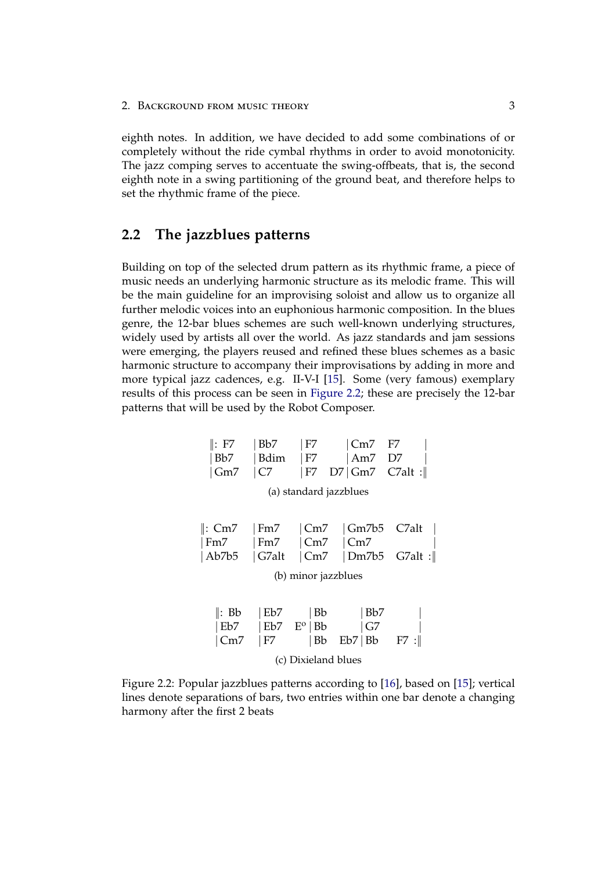2. BACKGROUND FROM MUSIC THEORY 3

eighth notes. In addition, we have decided to add some combinations of or completely without the ride cymbal rhythms in order to avoid monotonicity. The jazz comping serves to accentuate the swing-offbeats, that is, the second eighth note in a swing partitioning of the ground beat, and therefore helps to set the rhythmic frame of the piece.

### <span id="page-5-0"></span>**2.2 The jazzblues patterns**

Building on top of the selected drum pattern as its rhythmic frame, a piece of music needs an underlying harmonic structure as its melodic frame. This will be the main guideline for an improvising soloist and allow us to organize all further melodic voices into an euphonious harmonic composition. In the blues genre, the 12-bar blues schemes are such well-known underlying structures, widely used by artists all over the world. As jazz standards and jam sessions were emerging, the players reused and refined these blues schemes as a basic harmonic structure to accompany their improvisations by adding in more and more typical jazz cadences, e.g. II-V-I [\[15\]](#page-17-4). Some (very famous) exemplary results of this process can be seen in [Figure 2.2;](#page-5-1) these are precisely the 12-bar patterns that will be used by the Robot Composer.

<span id="page-5-1"></span>

| $\parallel$ : F7       | Bb7                              | F7                                  | $ Cm7 $ F7                            |        |  |  |  |  |  |
|------------------------|----------------------------------|-------------------------------------|---------------------------------------|--------|--|--|--|--|--|
| Bb7                    | Bdim                             | F7                                  | $\vert$ Am7 D7                        |        |  |  |  |  |  |
| Gm                     | C7                               | F7                                  | $D7$ Gm7 C7alt :                      |        |  |  |  |  |  |
| (a) standard jazzblues |                                  |                                     |                                       |        |  |  |  |  |  |
| ∥: Cm7<br>Fm7<br>Ab7b5 | $\mid$ Fm7<br>  Fm7<br>$ G7$ alt | Cm7 <br> Cm7 <br> Cm7               | $\sqrt{Gm7b5}$ C7alt<br> Cm7<br>Dm7b5 | GZalt: |  |  |  |  |  |
| (b) minor jazzblues    |                                  |                                     |                                       |        |  |  |  |  |  |
| ∥: Bb<br>Eb7<br>Cm7    | Eb7<br>F7                        | Bb<br>$ Eb7 - E^{\circ} Bb$<br>  Bb | Bb7<br> G7<br>Eb7 Bb                  | F7 :   |  |  |  |  |  |
| (c) Dixieland blues    |                                  |                                     |                                       |        |  |  |  |  |  |

Figure 2.2: Popular jazzblues patterns according to [\[16\]](#page-17-5), based on [\[15\]](#page-17-4); vertical lines denote separations of bars, two entries within one bar denote a changing harmony after the first 2 beats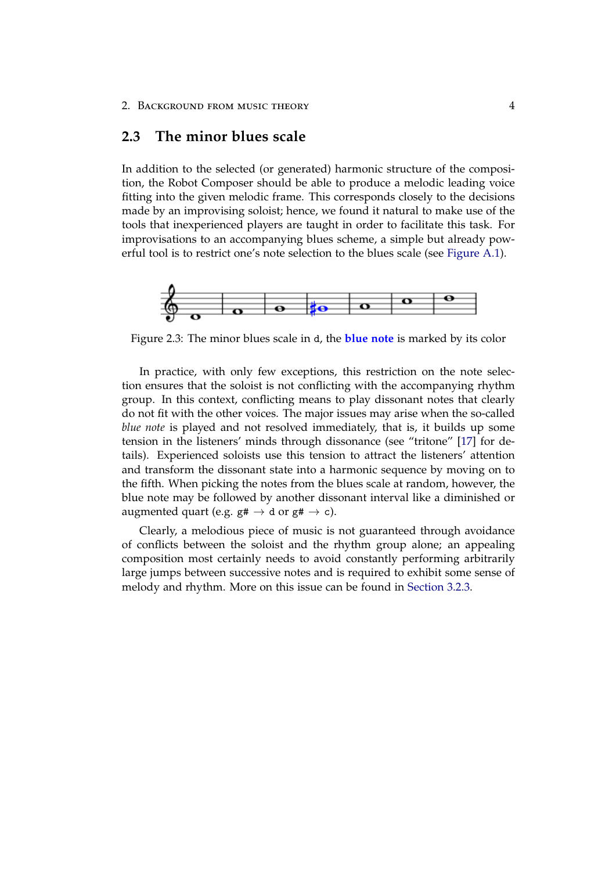## <span id="page-6-0"></span>**2.3 The minor blues scale**

In addition to the selected (or generated) harmonic structure of the composition, the Robot Composer should be able to produce a melodic leading voice fitting into the given melodic frame. This corresponds closely to the decisions made by an improvising soloist; hence, we found it natural to make use of the tools that inexperienced players are taught in order to facilitate this task. For improvisations to an accompanying blues scheme, a simple but already powerful tool is to restrict one's note selection to the blues scale (see [Figure A.1\)](#page-19-1).



Figure 2.3: The minor blues scale in d, the **blue note** is marked by its color

In practice, with only few exceptions, this restriction on the note selection ensures that the soloist is not conflicting with the accompanying rhythm group. In this context, conflicting means to play dissonant notes that clearly do not fit with the other voices. The major issues may arise when the so-called *blue note* is played and not resolved immediately, that is, it builds up some tension in the listeners' minds through dissonance (see "tritone" [\[17\]](#page-17-6) for details). Experienced soloists use this tension to attract the listeners' attention and transform the dissonant state into a harmonic sequence by moving on to the fifth. When picking the notes from the blues scale at random, however, the blue note may be followed by another dissonant interval like a diminished or augmented quart (e.g.  $g# \rightarrow d$  or  $g# \rightarrow c$ ).

Clearly, a melodious piece of music is not guaranteed through avoidance of conflicts between the soloist and the rhythm group alone; an appealing composition most certainly needs to avoid constantly performing arbitrarily large jumps between successive notes and is required to exhibit some sense of melody and rhythm. More on this issue can be found in [Section 3.2.3.](#page-12-1)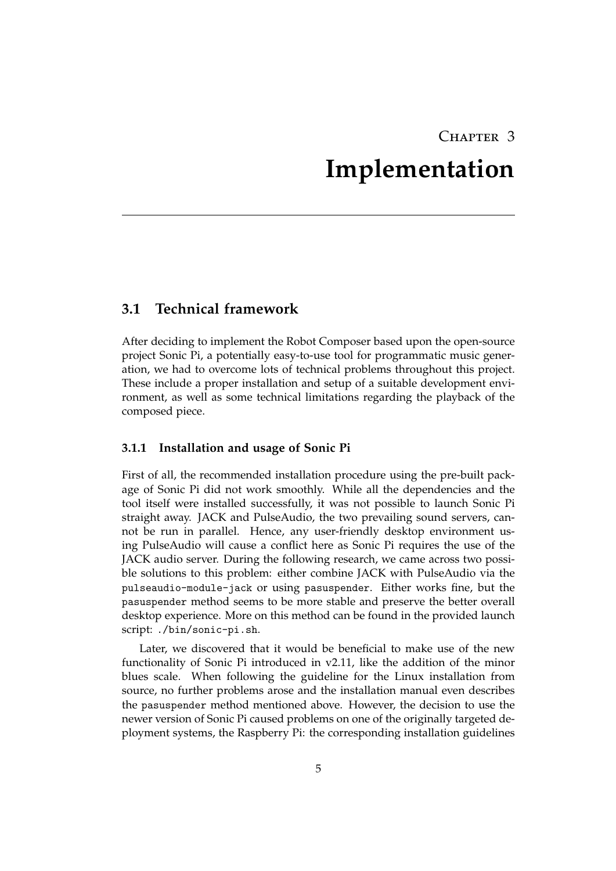## CHAPTER 3 **Implementation**

## <span id="page-7-1"></span><span id="page-7-0"></span>**3.1 Technical framework**

After deciding to implement the Robot Composer based upon the open-source project Sonic Pi, a potentially easy-to-use tool for programmatic music generation, we had to overcome lots of technical problems throughout this project. These include a proper installation and setup of a suitable development environment, as well as some technical limitations regarding the playback of the composed piece.

### <span id="page-7-2"></span>**3.1.1 Installation and usage of Sonic Pi**

First of all, the recommended installation procedure using the pre-built package of Sonic Pi did not work smoothly. While all the dependencies and the tool itself were installed successfully, it was not possible to launch Sonic Pi straight away. JACK and PulseAudio, the two prevailing sound servers, cannot be run in parallel. Hence, any user-friendly desktop environment using PulseAudio will cause a conflict here as Sonic Pi requires the use of the JACK audio server. During the following research, we came across two possible solutions to this problem: either combine JACK with PulseAudio via the pulseaudio-module-jack or using pasuspender. Either works fine, but the pasuspender method seems to be more stable and preserve the better overall desktop experience. More on this method can be found in the provided launch script: ./bin/sonic-pi.sh.

Later, we discovered that it would be beneficial to make use of the new functionality of Sonic Pi introduced in v2.11, like the addition of the minor blues scale. When following the guideline for the Linux installation from source, no further problems arose and the installation manual even describes the pasuspender method mentioned above. However, the decision to use the newer version of Sonic Pi caused problems on one of the originally targeted deployment systems, the Raspberry Pi: the corresponding installation guidelines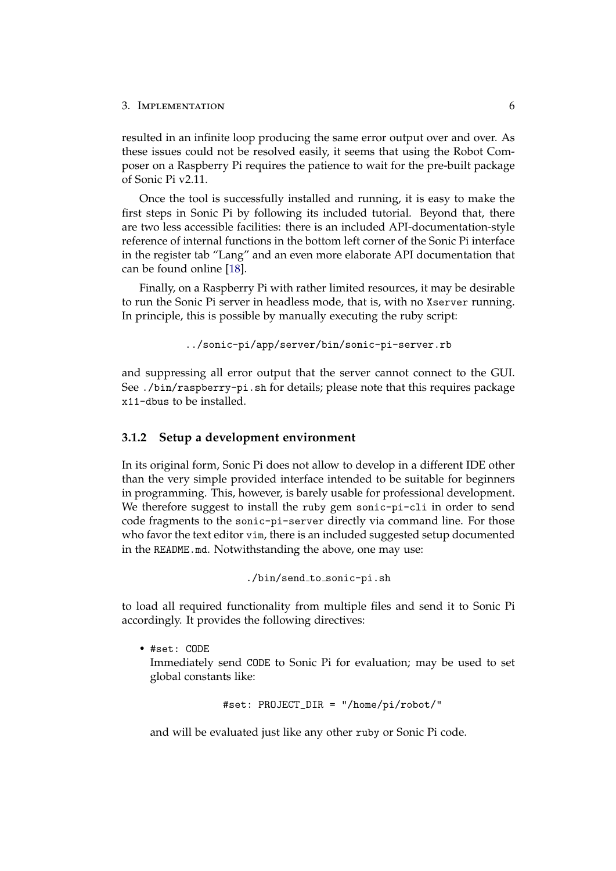resulted in an infinite loop producing the same error output over and over. As these issues could not be resolved easily, it seems that using the Robot Composer on a Raspberry Pi requires the patience to wait for the pre-built package of Sonic Pi v2.11.

Once the tool is successfully installed and running, it is easy to make the first steps in Sonic Pi by following its included tutorial. Beyond that, there are two less accessible facilities: there is an included API-documentation-style reference of internal functions in the bottom left corner of the Sonic Pi interface in the register tab "Lang" and an even more elaborate API documentation that can be found online [\[18\]](#page-17-7).

Finally, on a Raspberry Pi with rather limited resources, it may be desirable to run the Sonic Pi server in headless mode, that is, with no Xserver running. In principle, this is possible by manually executing the ruby script:

```
../sonic-pi/app/server/bin/sonic-pi-server.rb
```
and suppressing all error output that the server cannot connect to the GUI. See ./bin/raspberry-pi.sh for details; please note that this requires package x11-dbus to be installed.

#### <span id="page-8-0"></span>**3.1.2 Setup a development environment**

In its original form, Sonic Pi does not allow to develop in a different IDE other than the very simple provided interface intended to be suitable for beginners in programming. This, however, is barely usable for professional development. We therefore suggest to install the ruby gem sonic-pi-cli in order to send code fragments to the sonic-pi-server directly via command line. For those who favor the text editor vim, there is an included suggested setup documented in the README.md. Notwithstanding the above, one may use:

```
./bin/send_to_sonic-pi.sh
```
to load all required functionality from multiple files and send it to Sonic Pi accordingly. It provides the following directives:

• #set: CODE Immediately send CODE to Sonic Pi for evaluation; may be used to set global constants like:

```
#set: PROJECT_DIR = "/home/pi/robot/"
```
and will be evaluated just like any other ruby or Sonic Pi code.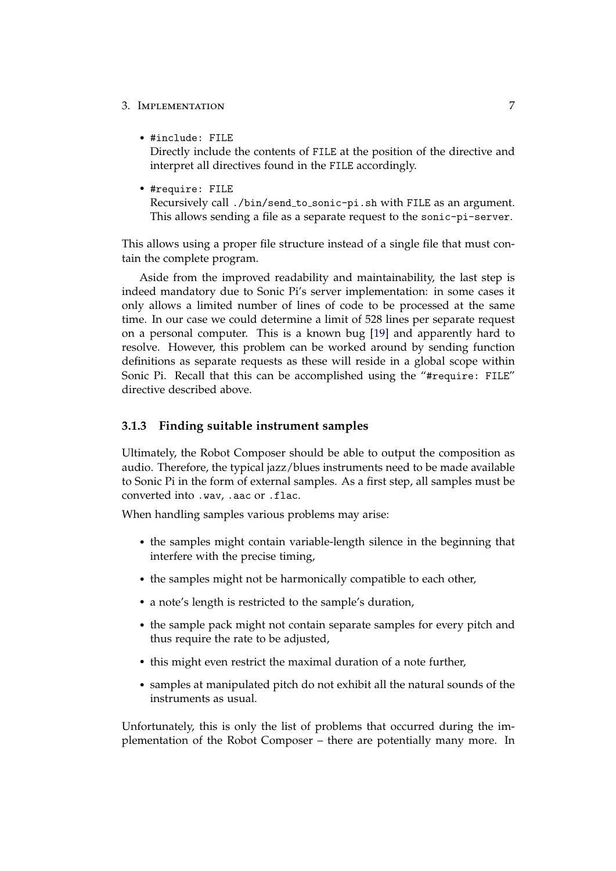• #include: FILE

Directly include the contents of FILE at the position of the directive and interpret all directives found in the FILE accordingly.

• #require: FILE

Recursively call ./bin/send to sonic-pi.sh with FILE as an argument. This allows sending a file as a separate request to the sonic-pi-server.

This allows using a proper file structure instead of a single file that must contain the complete program.

Aside from the improved readability and maintainability, the last step is indeed mandatory due to Sonic Pi's server implementation: in some cases it only allows a limited number of lines of code to be processed at the same time. In our case we could determine a limit of 528 lines per separate request on a personal computer. This is a known bug [\[19\]](#page-17-8) and apparently hard to resolve. However, this problem can be worked around by sending function definitions as separate requests as these will reside in a global scope within Sonic Pi. Recall that this can be accomplished using the "#require: FILE" directive described above.

### <span id="page-9-0"></span>**3.1.3 Finding suitable instrument samples**

Ultimately, the Robot Composer should be able to output the composition as audio. Therefore, the typical jazz/blues instruments need to be made available to Sonic Pi in the form of external samples. As a first step, all samples must be converted into .wav, .aac or .flac.

When handling samples various problems may arise:

- the samples might contain variable-length silence in the beginning that interfere with the precise timing,
- the samples might not be harmonically compatible to each other,
- a note's length is restricted to the sample's duration,
- the sample pack might not contain separate samples for every pitch and thus require the rate to be adjusted,
- this might even restrict the maximal duration of a note further,
- samples at manipulated pitch do not exhibit all the natural sounds of the instruments as usual.

Unfortunately, this is only the list of problems that occurred during the implementation of the Robot Composer – there are potentially many more. In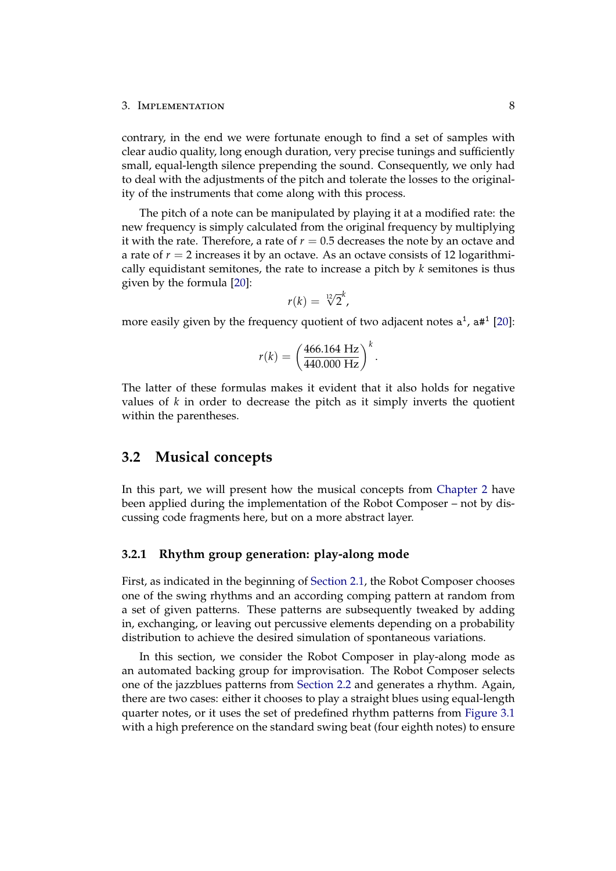contrary, in the end we were fortunate enough to find a set of samples with clear audio quality, long enough duration, very precise tunings and sufficiently small, equal-length silence prepending the sound. Consequently, we only had to deal with the adjustments of the pitch and tolerate the losses to the originality of the instruments that come along with this process.

The pitch of a note can be manipulated by playing it at a modified rate: the new frequency is simply calculated from the original frequency by multiplying it with the rate. Therefore, a rate of  $r = 0.5$  decreases the note by an octave and a rate of  $r = 2$  increases it by an octave. As an octave consists of 12 logarithmically equidistant semitones, the rate to increase a pitch by *k* semitones is thus given by the formula [\[20\]](#page-17-9):

$$
r(k) = \sqrt[12]{2}^k,
$$

more easily given by the frequency quotient of two adjacent notes  $a^1$ ,  $a\#^1$  [\[20\]](#page-17-9):

$$
r(k) = \left(\frac{466.164 \text{ Hz}}{440.000 \text{ Hz}}\right)^k.
$$

The latter of these formulas makes it evident that it also holds for negative values of *k* in order to decrease the pitch as it simply inverts the quotient within the parentheses.

### <span id="page-10-0"></span>**3.2 Musical concepts**

In this part, we will present how the musical concepts from [Chapter 2](#page-4-0) have been applied during the implementation of the Robot Composer – not by discussing code fragments here, but on a more abstract layer.

#### <span id="page-10-1"></span>**3.2.1 Rhythm group generation: play-along mode**

First, as indicated in the beginning of [Section 2.1,](#page-4-1) the Robot Composer chooses one of the swing rhythms and an according comping pattern at random from a set of given patterns. These patterns are subsequently tweaked by adding in, exchanging, or leaving out percussive elements depending on a probability distribution to achieve the desired simulation of spontaneous variations.

In this section, we consider the Robot Composer in play-along mode as an automated backing group for improvisation. The Robot Composer selects one of the jazzblues patterns from [Section 2.2](#page-5-0) and generates a rhythm. Again, there are two cases: either it chooses to play a straight blues using equal-length quarter notes, or it uses the set of predefined rhythm patterns from [Figure 3.1](#page-11-0) with a high preference on the standard swing beat (four eighth notes) to ensure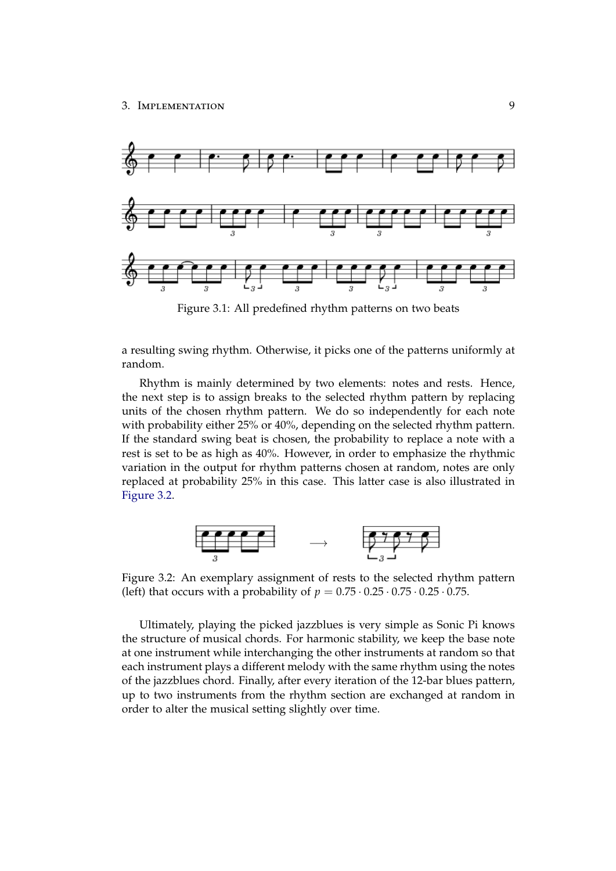<span id="page-11-0"></span>

Figure 3.1: All predefined rhythm patterns on two beats

a resulting swing rhythm. Otherwise, it picks one of the patterns uniformly at random.

Rhythm is mainly determined by two elements: notes and rests. Hence, the next step is to assign breaks to the selected rhythm pattern by replacing units of the chosen rhythm pattern. We do so independently for each note with probability either 25% or 40%, depending on the selected rhythm pattern. If the standard swing beat is chosen, the probability to replace a note with a rest is set to be as high as 40%. However, in order to emphasize the rhythmic variation in the output for rhythm patterns chosen at random, notes are only replaced at probability 25% in this case. This latter case is also illustrated in [Figure 3.2.](#page-11-1)

<span id="page-11-1"></span>

Figure 3.2: An exemplary assignment of rests to the selected rhythm pattern (left) that occurs with a probability of  $p = 0.75 \cdot 0.25 \cdot 0.75 \cdot 0.25 \cdot 0.75$ .

Ultimately, playing the picked jazzblues is very simple as Sonic Pi knows the structure of musical chords. For harmonic stability, we keep the base note at one instrument while interchanging the other instruments at random so that each instrument plays a different melody with the same rhythm using the notes of the jazzblues chord. Finally, after every iteration of the 12-bar blues pattern, up to two instruments from the rhythm section are exchanged at random in order to alter the musical setting slightly over time.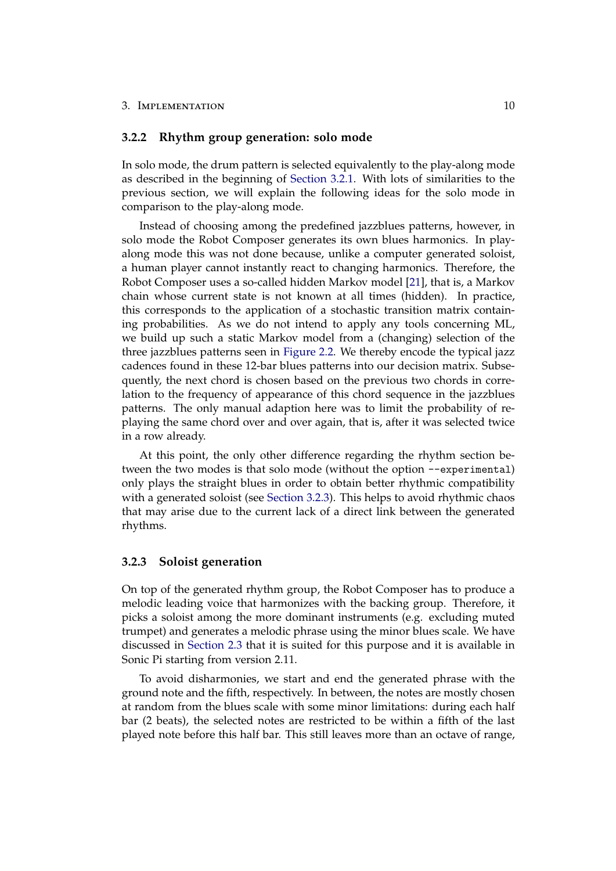### <span id="page-12-0"></span>**3.2.2 Rhythm group generation: solo mode**

In solo mode, the drum pattern is selected equivalently to the play-along mode as described in the beginning of [Section 3.2.1.](#page-10-1) With lots of similarities to the previous section, we will explain the following ideas for the solo mode in comparison to the play-along mode.

Instead of choosing among the predefined jazzblues patterns, however, in solo mode the Robot Composer generates its own blues harmonics. In playalong mode this was not done because, unlike a computer generated soloist, a human player cannot instantly react to changing harmonics. Therefore, the Robot Composer uses a so-called hidden Markov model [\[21\]](#page-17-10), that is, a Markov chain whose current state is not known at all times (hidden). In practice, this corresponds to the application of a stochastic transition matrix containing probabilities. As we do not intend to apply any tools concerning ML, we build up such a static Markov model from a (changing) selection of the three jazzblues patterns seen in [Figure 2.2.](#page-5-1) We thereby encode the typical jazz cadences found in these 12-bar blues patterns into our decision matrix. Subsequently, the next chord is chosen based on the previous two chords in correlation to the frequency of appearance of this chord sequence in the jazzblues patterns. The only manual adaption here was to limit the probability of replaying the same chord over and over again, that is, after it was selected twice in a row already.

At this point, the only other difference regarding the rhythm section between the two modes is that solo mode (without the option --experimental) only plays the straight blues in order to obtain better rhythmic compatibility with a generated soloist (see [Section 3.2.3\)](#page-12-1). This helps to avoid rhythmic chaos that may arise due to the current lack of a direct link between the generated rhythms.

### <span id="page-12-1"></span>**3.2.3 Soloist generation**

On top of the generated rhythm group, the Robot Composer has to produce a melodic leading voice that harmonizes with the backing group. Therefore, it picks a soloist among the more dominant instruments (e.g. excluding muted trumpet) and generates a melodic phrase using the minor blues scale. We have discussed in [Section 2.3](#page-6-0) that it is suited for this purpose and it is available in Sonic Pi starting from version 2.11.

To avoid disharmonies, we start and end the generated phrase with the ground note and the fifth, respectively. In between, the notes are mostly chosen at random from the blues scale with some minor limitations: during each half bar (2 beats), the selected notes are restricted to be within a fifth of the last played note before this half bar. This still leaves more than an octave of range,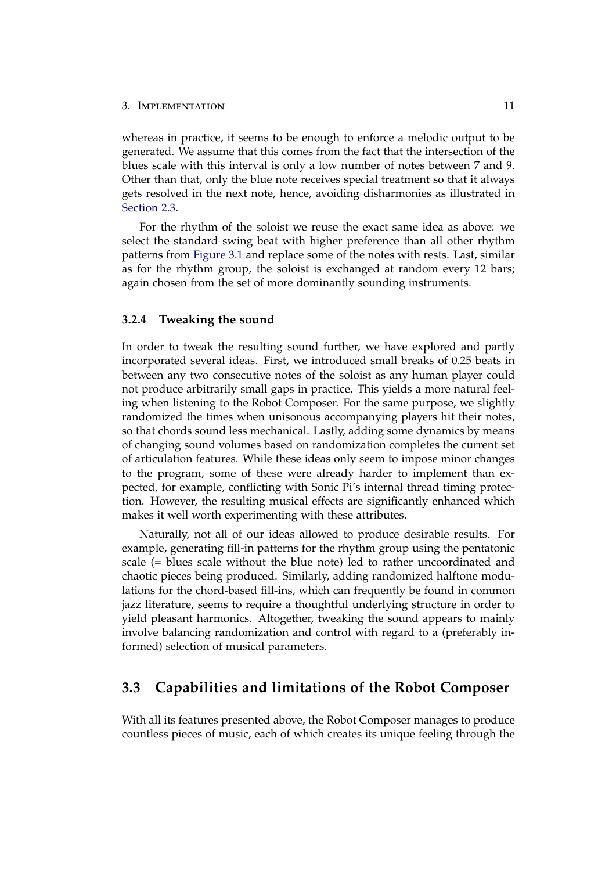#### 3. IMPLEMENTATION 11

whereas in practice, it seems to be enough to enforce a melodic output to be generated. We assume that this comes from the fact that the intersection of the blues scale with this interval is only a low number of notes between 7 and 9. Other than that, only the blue note receives special treatment so that it always gets resolved in the next note, hence, avoiding disharmonies as illustrated in [Section 2.3.](#page-6-0)

For the rhythm of the soloist we reuse the exact same idea as above: we select the standard swing beat with higher preference than all other rhythm patterns from [Figure 3.1](#page-11-0) and replace some of the notes with rests. Last, similar as for the rhythm group, the soloist is exchanged at random every 12 bars; again chosen from the set of more dominantly sounding instruments.

#### <span id="page-13-0"></span>**3.2.4 Tweaking the sound**

In order to tweak the resulting sound further, we have explored and partly incorporated several ideas. First, we introduced small breaks of 0.25 beats in between any two consecutive notes of the soloist as any human player could not produce arbitrarily small gaps in practice. This yields a more natural feeling when listening to the Robot Composer. For the same purpose, we slightly randomized the times when unisonous accompanying players hit their notes, so that chords sound less mechanical. Lastly, adding some dynamics by means of changing sound volumes based on randomization completes the current set of articulation features. While these ideas only seem to impose minor changes to the program, some of these were already harder to implement than expected, for example, conflicting with Sonic Pi's internal thread timing protection. However, the resulting musical effects are significantly enhanced which makes it well worth experimenting with these attributes.

Naturally, not all of our ideas allowed to produce desirable results. For example, generating fill-in patterns for the rhythm group using the pentatonic scale (= blues scale without the blue note) led to rather uncoordinated and chaotic pieces being produced. Similarly, adding randomized halftone modulations for the chord-based fill-ins, which can frequently be found in common jazz literature, seems to require a thoughtful underlying structure in order to yield pleasant harmonics. Altogether, tweaking the sound appears to mainly involve balancing randomization and control with regard to a (preferably informed) selection of musical parameters.

## <span id="page-13-1"></span>**3.3 Capabilities and limitations of the Robot Composer**

With all its features presented above, the Robot Composer manages to produce countless pieces of music, each of which creates its unique feeling through the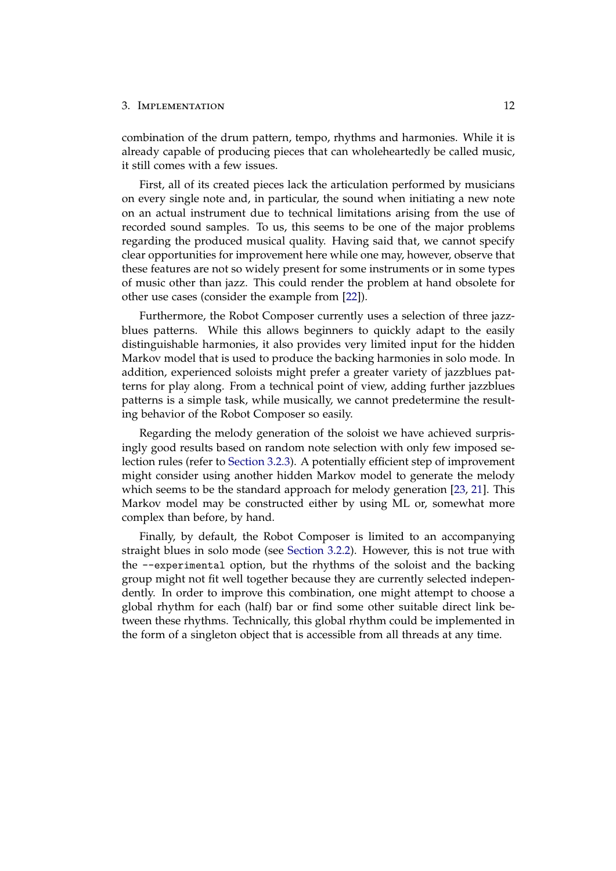combination of the drum pattern, tempo, rhythms and harmonies. While it is already capable of producing pieces that can wholeheartedly be called music, it still comes with a few issues.

First, all of its created pieces lack the articulation performed by musicians on every single note and, in particular, the sound when initiating a new note on an actual instrument due to technical limitations arising from the use of recorded sound samples. To us, this seems to be one of the major problems regarding the produced musical quality. Having said that, we cannot specify clear opportunities for improvement here while one may, however, observe that these features are not so widely present for some instruments or in some types of music other than jazz. This could render the problem at hand obsolete for other use cases (consider the example from [\[22\]](#page-17-11)).

Furthermore, the Robot Composer currently uses a selection of three jazzblues patterns. While this allows beginners to quickly adapt to the easily distinguishable harmonies, it also provides very limited input for the hidden Markov model that is used to produce the backing harmonies in solo mode. In addition, experienced soloists might prefer a greater variety of jazzblues patterns for play along. From a technical point of view, adding further jazzblues patterns is a simple task, while musically, we cannot predetermine the resulting behavior of the Robot Composer so easily.

Regarding the melody generation of the soloist we have achieved surprisingly good results based on random note selection with only few imposed selection rules (refer to [Section 3.2.3\)](#page-12-1). A potentially efficient step of improvement might consider using another hidden Markov model to generate the melody which seems to be the standard approach for melody generation [\[23,](#page-18-0) [21\]](#page-17-10). This Markov model may be constructed either by using ML or, somewhat more complex than before, by hand.

Finally, by default, the Robot Composer is limited to an accompanying straight blues in solo mode (see [Section 3.2.2\)](#page-12-0). However, this is not true with the --experimental option, but the rhythms of the soloist and the backing group might not fit well together because they are currently selected independently. In order to improve this combination, one might attempt to choose a global rhythm for each (half) bar or find some other suitable direct link between these rhythms. Technically, this global rhythm could be implemented in the form of a singleton object that is accessible from all threads at any time.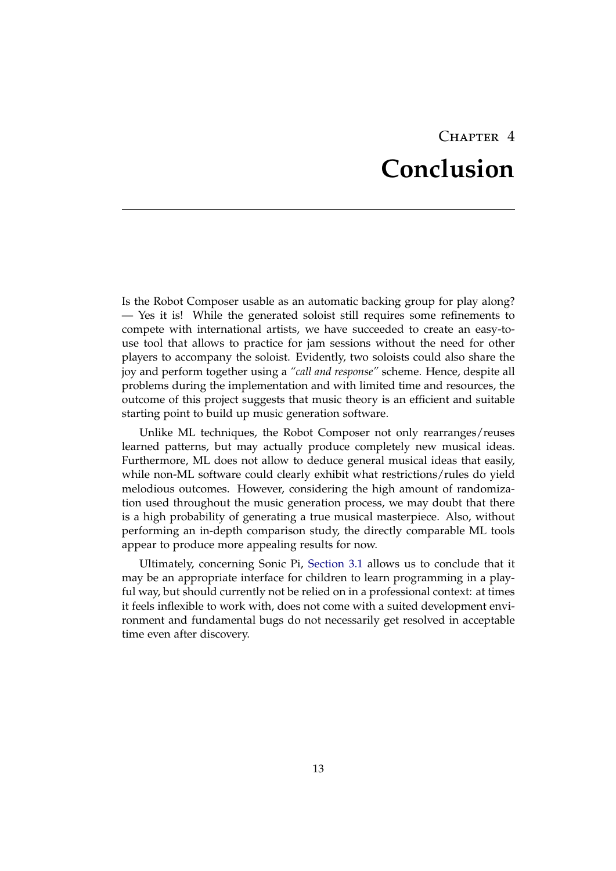## $CHAPTER$  4 **Conclusion**

<span id="page-15-0"></span>Is the Robot Composer usable as an automatic backing group for play along? — Yes it is! While the generated soloist still requires some refinements to compete with international artists, we have succeeded to create an easy-touse tool that allows to practice for jam sessions without the need for other players to accompany the soloist. Evidently, two soloists could also share the joy and perform together using a *"call and response"* scheme. Hence, despite all problems during the implementation and with limited time and resources, the outcome of this project suggests that music theory is an efficient and suitable starting point to build up music generation software.

Unlike ML techniques, the Robot Composer not only rearranges/reuses learned patterns, but may actually produce completely new musical ideas. Furthermore, ML does not allow to deduce general musical ideas that easily, while non-ML software could clearly exhibit what restrictions/rules do yield melodious outcomes. However, considering the high amount of randomization used throughout the music generation process, we may doubt that there is a high probability of generating a true musical masterpiece. Also, without performing an in-depth comparison study, the directly comparable ML tools appear to produce more appealing results for now.

Ultimately, concerning Sonic Pi, [Section 3.1](#page-7-1) allows us to conclude that it may be an appropriate interface for children to learn programming in a playful way, but should currently not be relied on in a professional context: at times it feels inflexible to work with, does not come with a suited development environment and fundamental bugs do not necessarily get resolved in acceptable time even after discovery.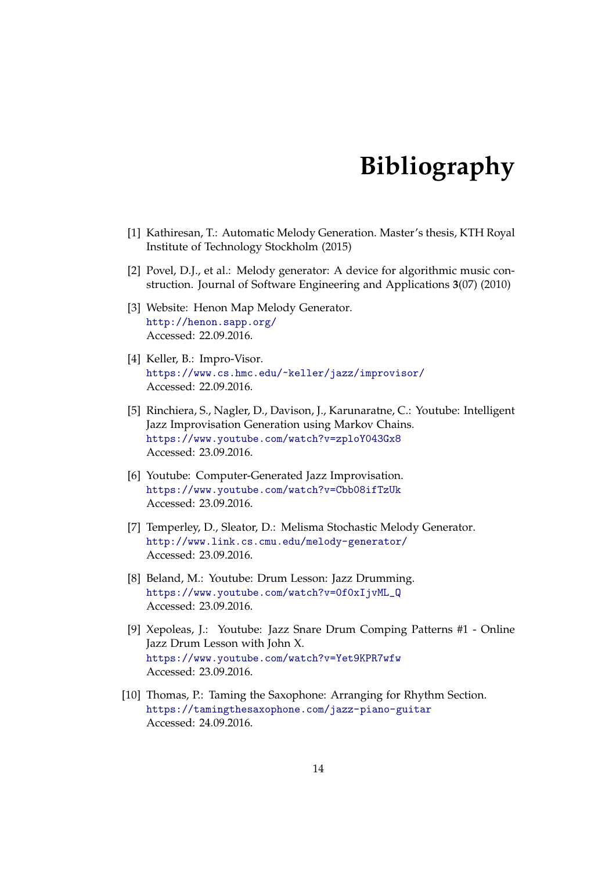## **Bibliography**

- <span id="page-16-1"></span><span id="page-16-0"></span>[1] Kathiresan, T.: Automatic Melody Generation. Master's thesis, KTH Royal Institute of Technology Stockholm (2015)
- <span id="page-16-2"></span>[2] Povel, D.J., et al.: Melody generator: A device for algorithmic music construction. Journal of Software Engineering and Applications **3**(07) (2010)
- <span id="page-16-3"></span>[3] Website: Henon Map Melody Generator. <http://henon.sapp.org/> Accessed: 22.09.2016.
- <span id="page-16-4"></span>[4] Keller, B.: Impro-Visor. <https://www.cs.hmc.edu/~keller/jazz/improvisor/> Accessed: 22.09.2016.
- <span id="page-16-5"></span>[5] Rinchiera, S., Nagler, D., Davison, J., Karunaratne, C.: Youtube: Intelligent Jazz Improvisation Generation using Markov Chains. <https://www.youtube.com/watch?v=zploY043Gx8> Accessed: 23.09.2016.
- <span id="page-16-6"></span>[6] Youtube: Computer-Generated Jazz Improvisation. <https://www.youtube.com/watch?v=Cbb08ifTzUk> Accessed: 23.09.2016.
- <span id="page-16-7"></span>[7] Temperley, D., Sleator, D.: Melisma Stochastic Melody Generator. <http://www.link.cs.cmu.edu/melody-generator/> Accessed: 23.09.2016.
- <span id="page-16-8"></span>[8] Beland, M.: Youtube: Drum Lesson: Jazz Drumming. [https://www.youtube.com/watch?v=0f0xIjvML\\_Q](https://www.youtube.com/watch?v=0f0xIjvML_Q) Accessed: 23.09.2016.
- <span id="page-16-9"></span>[9] Xepoleas, J.: Youtube: Jazz Snare Drum Comping Patterns #1 - Online Jazz Drum Lesson with John X. <https://www.youtube.com/watch?v=Yet9KPR7wfw> Accessed: 23.09.2016.
- <span id="page-16-10"></span>[10] Thomas, P.: Taming the Saxophone: Arranging for Rhythm Section. <https://tamingthesaxophone.com/jazz-piano-guitar> Accessed: 24.09.2016.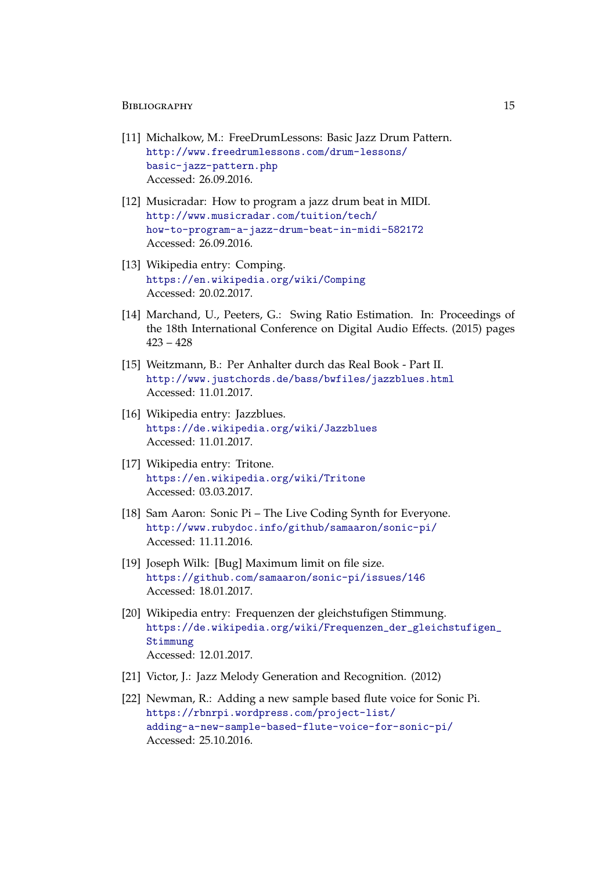#### BIBLIOGRAPHY 15

- <span id="page-17-0"></span>[11] Michalkow, M.: FreeDrumLessons: Basic Jazz Drum Pattern. [http://www.freedrumlessons.com/drum-lessons/](http://www.freedrumlessons.com/drum-lessons/basic-jazz-pattern.php) [basic-jazz-pattern.php](http://www.freedrumlessons.com/drum-lessons/basic-jazz-pattern.php) Accessed: 26.09.2016.
- <span id="page-17-1"></span>[12] Musicradar: How to program a jazz drum beat in MIDI. [http://www.musicradar.com/tuition/tech/](http://www.musicradar.com/tuition/tech/how-to-program-a-jazz-drum-beat-in-midi-582172) [how-to-program-a-jazz-drum-beat-in-midi-582172](http://www.musicradar.com/tuition/tech/how-to-program-a-jazz-drum-beat-in-midi-582172) Accessed: 26.09.2016.
- <span id="page-17-2"></span>[13] Wikipedia entry: Comping. <https://en.wikipedia.org/wiki/Comping> Accessed: 20.02.2017.
- <span id="page-17-3"></span>[14] Marchand, U., Peeters, G.: Swing Ratio Estimation. In: Proceedings of the 18th International Conference on Digital Audio Effects. (2015) pages 423 – 428
- <span id="page-17-4"></span>[15] Weitzmann, B.: Per Anhalter durch das Real Book - Part II. <http://www.justchords.de/bass/bwfiles/jazzblues.html> Accessed: 11.01.2017.
- <span id="page-17-5"></span>[16] Wikipedia entry: Jazzblues. <https://de.wikipedia.org/wiki/Jazzblues> Accessed: 11.01.2017.
- <span id="page-17-6"></span>[17] Wikipedia entry: Tritone. <https://en.wikipedia.org/wiki/Tritone> Accessed: 03.03.2017.
- <span id="page-17-7"></span>[18] Sam Aaron: Sonic Pi – The Live Coding Synth for Everyone. <http://www.rubydoc.info/github/samaaron/sonic-pi/> Accessed: 11.11.2016.
- <span id="page-17-8"></span>[19] Joseph Wilk: [Bug] Maximum limit on file size. <https://github.com/samaaron/sonic-pi/issues/146> Accessed: 18.01.2017.
- <span id="page-17-9"></span>[20] Wikipedia entry: Frequenzen der gleichstufigen Stimmung. [https://de.wikipedia.org/wiki/Frequenzen\\_der\\_gleichstufigen\\_](https://de.wikipedia.org/wiki/Frequenzen_der_gleichstufigen_Stimmung) [Stimmung](https://de.wikipedia.org/wiki/Frequenzen_der_gleichstufigen_Stimmung) Accessed: 12.01.2017.
- <span id="page-17-10"></span>[21] Victor, J.: Jazz Melody Generation and Recognition. (2012)
- <span id="page-17-11"></span>[22] Newman, R.: Adding a new sample based flute voice for Sonic Pi. [https://rbnrpi.wordpress.com/project-list/](https://rbnrpi.wordpress.com/project-list/adding-a-new-sample-based-flute-voice-for-sonic-pi/) [adding-a-new-sample-based-flute-voice-for-sonic-pi/](https://rbnrpi.wordpress.com/project-list/adding-a-new-sample-based-flute-voice-for-sonic-pi/) Accessed: 25.10.2016.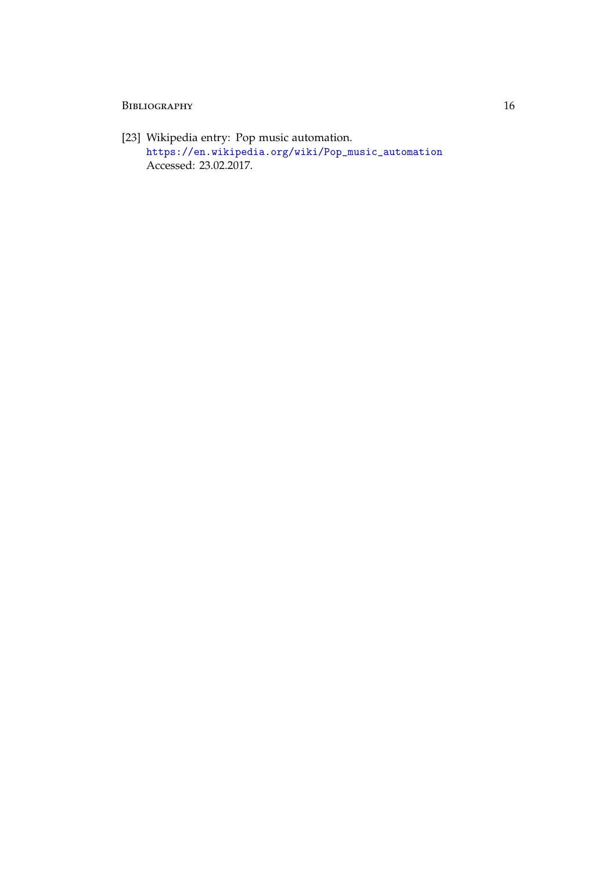### BIBLIOGRAPHY 16

<span id="page-18-0"></span>[23] Wikipedia entry: Pop music automation. [https://en.wikipedia.org/wiki/Pop\\_music\\_automation](https://en.wikipedia.org/wiki/Pop_music_automation) Accessed: 23.02.2017.